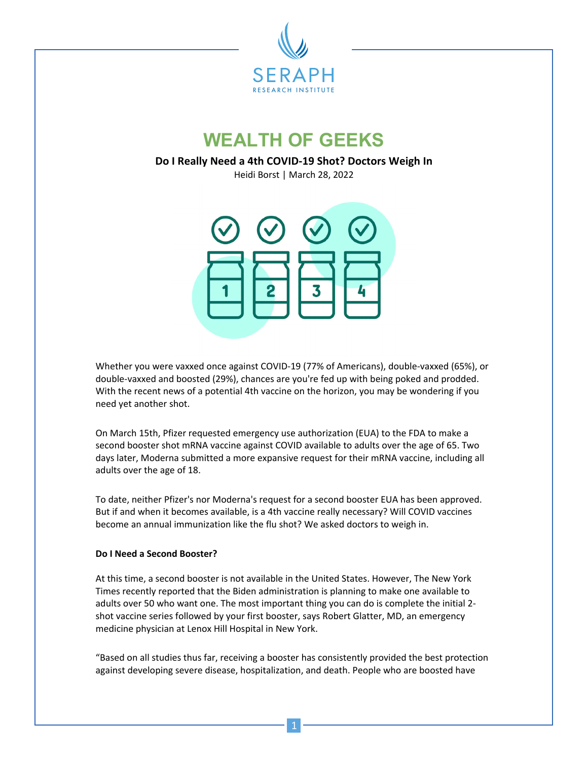

# **WEALTH OF GEEKS**

## **Do I Really Need a 4th COVID-19 Shot? Doctors Weigh In**

Heidi Borst | March 28, 2022



Whether you were vaxxed once against COVID-19 (77% of Americans), double-vaxxed (65%), or double-vaxxed and boosted (29%), chances are you're fed up with being poked and prodded. With the recent news of a potential 4th vaccine on the horizon, you may be wondering if you need yet another shot.

On March 15th, Pfizer requested emergency use authorization (EUA) to the FDA to make a second booster shot mRNA vaccine against COVID available to adults over the age of 65. Two days later, Moderna submitted a more expansive request for their mRNA vaccine, including all adults over the age of 18.

To date, neither Pfizer's nor Moderna's request for a second booster EUA has been approved. But if and when it becomes available, is a 4th vaccine really necessary? Will COVID vaccines become an annual immunization like the flu shot? We asked doctors to weigh in.

### **Do I Need a Second Booster?**

At this time, a second booster is not available in the United States. However, The New York Times recently reported that the Biden administration is planning to make one available to adults over 50 who want one. The most important thing you can do is complete the initial 2 shot vaccine series followed by your first booster, says Robert Glatter, MD, an emergency medicine physician at Lenox Hill Hospital in New York.

"Based on all studies thus far, receiving a booster has consistently provided the best protection against developing severe disease, hospitalization, and death. People who are boosted have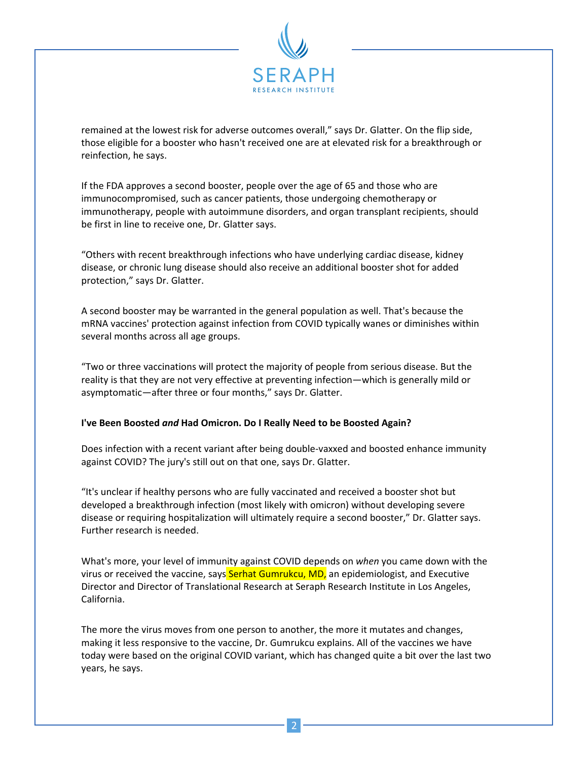

remained at the lowest risk for adverse outcomes overall," says Dr. Glatter. On the flip side, those eligible for a booster who hasn't received one are at elevated risk for a breakthrough or reinfection, he says.

If the FDA approves a second booster, people over the age of 65 and those who are immunocompromised, such as cancer patients, those undergoing chemotherapy or immunotherapy, people with autoimmune disorders, and organ transplant recipients, should be first in line to receive one, Dr. Glatter says.

"Others with recent breakthrough infections who have underlying cardiac disease, kidney disease, or chronic lung disease should also receive an additional booster shot for added protection," says Dr. Glatter.

A second booster may be warranted in the general population as well. That's because the mRNA vaccines' protection against infection from COVID typically wanes or diminishes within several months across all age groups.

"Two or three vaccinations will protect the majority of people from serious disease. But the reality is that they are not very effective at preventing infection—which is generally mild or asymptomatic—after three or four months," says Dr. Glatter.

#### **I've Been Boosted** *and* **Had Omicron. Do I Really Need to be Boosted Again?**

Does infection with a recent variant after being double-vaxxed and boosted enhance immunity against COVID? The jury's still out on that one, says Dr. Glatter.

"It's unclear if healthy persons who are fully vaccinated and received a booster shot but developed a breakthrough infection (most likely with omicron) without developing severe disease or requiring hospitalization will ultimately require a second booster," Dr. Glatter says. Further research is needed.

What's more, your level of immunity against COVID depends on *when* you came down with the virus or received the vaccine, says **Serhat Gumrukcu, MD**, an epidemiologist, and Executive Director and Director of Translational Research at Seraph Research Institute in Los Angeles, California.

The more the virus moves from one person to another, the more it mutates and changes, making it less responsive to the vaccine, Dr. Gumrukcu explains. All of the vaccines we have today were based on the original COVID variant, which has changed quite a bit over the last two years, he says.